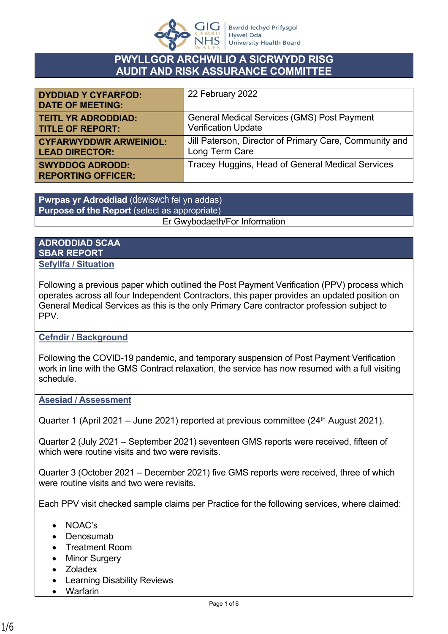

# **PWYLLGOR ARCHWILIO A SICRWYDD RISG AUDIT AND RISK ASSURANCE COMMITTEE**

| <b>DYDDIAD Y CYFARFOD:</b><br><b>DATE OF MEETING:</b> | 22 February 2022                                       |
|-------------------------------------------------------|--------------------------------------------------------|
| <b>TEITL YR ADRODDIAD:</b>                            | <b>General Medical Services (GMS) Post Payment</b>     |
| <b>TITLE OF REPORT:</b>                               | <b>Verification Update</b>                             |
| <b>CYFARWYDDWR ARWEINIOL:</b>                         | Jill Paterson, Director of Primary Care, Community and |
| <b>LEAD DIRECTOR:</b>                                 | Long Term Care                                         |
| <b>SWYDDOG ADRODD:</b><br><b>REPORTING OFFICER:</b>   | Tracey Huggins, Head of General Medical Services       |

**Pwrpas yr Adroddiad** (dewiswch fel yn addas) **Purpose of the Report** (select as appropriate) Er Gwybodaeth/For Information

#### **ADRODDIAD SCAA SBAR REPORT Sefyllfa / Situation**

Following a previous paper which outlined the Post Payment Verification (PPV) process which operates across all four Independent Contractors, this paper provides an updated position on General Medical Services as this is the only Primary Care contractor profession subject to PPV.

## **Cefndir / Background**

Following the COVID-19 pandemic, and temporary suspension of Post Payment Verification work in line with the GMS Contract relaxation, the service has now resumed with a full visiting schedule.

## **Asesiad / Assessment**

Quarter 1 (April 2021 – June 2021) reported at previous committee ( $24<sup>th</sup>$  August 2021).

Quarter 2 (July 2021 – September 2021) seventeen GMS reports were received, fifteen of which were routine visits and two were revisits.

Quarter 3 (October 2021 – December 2021) five GMS reports were received, three of which were routine visits and two were revisits.

Each PPV visit checked sample claims per Practice for the following services, where claimed:

- NOAC's
- Denosumab
- Treatment Room
- Minor Surgery
- Zoladex
- Learning Disability Reviews
- Warfarin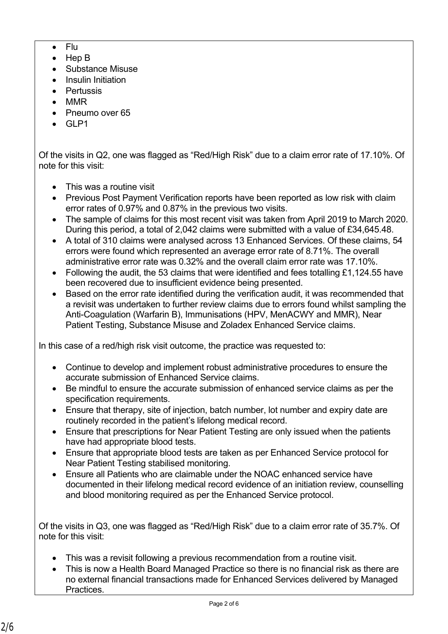- $\bullet$  Flu
- Hep B
- Substance Misuse
- Insulin Initiation
- Pertussis
- MMR
- Pneumo over 65
- GL<sub>P1</sub>

Of the visits in Q2, one was flagged as "Red/High Risk" due to a claim error rate of 17.10%. Of note for this visit:

- This was a routine visit
- Previous Post Payment Verification reports have been reported as low risk with claim error rates of 0.97% and 0.87% in the previous two visits.
- The sample of claims for this most recent visit was taken from April 2019 to March 2020. During this period, a total of 2,042 claims were submitted with a value of £34,645.48.
- A total of 310 claims were analysed across 13 Enhanced Services. Of these claims, 54 errors were found which represented an average error rate of 8.71%. The overall administrative error rate was 0.32% and the overall claim error rate was 17.10%.
- Following the audit, the 53 claims that were identified and fees totalling £1,124.55 have been recovered due to insufficient evidence being presented.
- Based on the error rate identified during the verification audit, it was recommended that a revisit was undertaken to further review claims due to errors found whilst sampling the Anti-Coagulation (Warfarin B), Immunisations (HPV, MenACWY and MMR), Near Patient Testing, Substance Misuse and Zoladex Enhanced Service claims.

In this case of a red/high risk visit outcome, the practice was requested to:

- Continue to develop and implement robust administrative procedures to ensure the accurate submission of Enhanced Service claims.
- Be mindful to ensure the accurate submission of enhanced service claims as per the specification requirements.
- Ensure that therapy, site of injection, batch number, lot number and expiry date are routinely recorded in the patient's lifelong medical record.
- Ensure that prescriptions for Near Patient Testing are only issued when the patients have had appropriate blood tests.
- Ensure that appropriate blood tests are taken as per Enhanced Service protocol for Near Patient Testing stabilised monitoring.
- Ensure all Patients who are claimable under the NOAC enhanced service have documented in their lifelong medical record evidence of an initiation review, counselling and blood monitoring required as per the Enhanced Service protocol.

Of the visits in Q3, one was flagged as "Red/High Risk" due to a claim error rate of 35.7%. Of note for this visit:

- This was a revisit following a previous recommendation from a routine visit.
- This is now a Health Board Managed Practice so there is no financial risk as there are no external financial transactions made for Enhanced Services delivered by Managed Practices.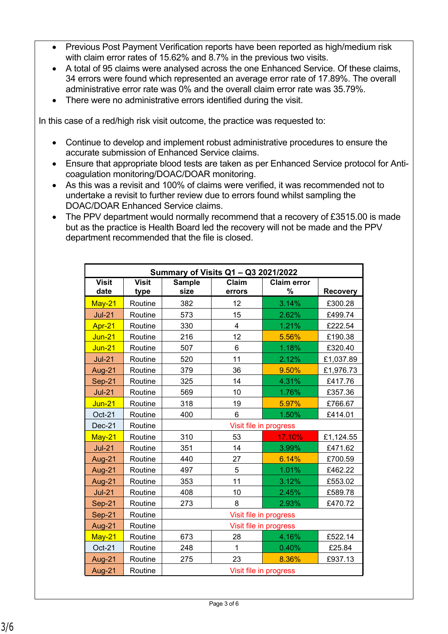- Previous Post Payment Verification reports have been reported as high/medium risk with claim error rates of 15.62% and 8.7% in the previous two visits.
- A total of 95 claims were analysed across the one Enhanced Service. Of these claims, 34 errors were found which represented an average error rate of 17.89%. The overall administrative error rate was 0% and the overall claim error rate was 35.79%.
- There were no administrative errors identified during the visit.

In this case of a red/high risk visit outcome, the practice was requested to:

- Continue to develop and implement robust administrative procedures to ensure the accurate submission of Enhanced Service claims.
- Ensure that appropriate blood tests are taken as per Enhanced Service protocol for Anticoagulation monitoring/DOAC/DOAR monitoring.
- As this was a revisit and 100% of claims were verified, it was recommended not to undertake a revisit to further review due to errors found whilst sampling the DOAC/DOAR Enhanced Service claims.
- The PPV department would normally recommend that a recovery of £3515.00 is made but as the practice is Health Board led the recovery will not be made and the PPV department recommended that the file is closed.

| Summary of Visits Q1 - Q3 2021/2022 |                      |                       |                 |                         |                 |
|-------------------------------------|----------------------|-----------------------|-----------------|-------------------------|-----------------|
| <b>Visit</b><br>date                | <b>Visit</b><br>type | <b>Sample</b><br>size | Claim<br>errors | <b>Claim error</b><br>% | <b>Recovery</b> |
| $May-21$                            | Routine              | 382                   | 12              | 3.14%                   | £300.28         |
| $Jul-21$                            | Routine              | 573                   | 15              | 2.62%                   | £499.74         |
| Apr-21                              | Routine              | 330                   | $\overline{4}$  | 1.21%                   | £222.54         |
| <b>Jun-21</b>                       | Routine              | 216                   | 12              | 5.56%                   | £190.38         |
| $Jun-21$                            | Routine              | 507                   | 6               | 1.18%                   | £320.40         |
| $Jul-21$                            | Routine              | 520                   | 11              | 2.12%                   | £1,037.89       |
| Aug-21                              | Routine              | 379                   | 36              | 9.50%                   | £1,976.73       |
| Sep-21                              | Routine              | 325                   | 14              | 4.31%                   | £417.76         |
| $Jul-21$                            | Routine              | 569                   | 10              | 1.76%                   | £357.36         |
| <b>Jun-21</b>                       | Routine              | 318                   | 19              | 5.97%                   | £766.67         |
| Oct-21                              | Routine              | 400                   | 6               | 1.50%                   | £414.01         |
| $Dec-21$                            | Routine              |                       |                 | Visit file in progress  |                 |
| $May-21$                            | Routine              | 310                   | 53              | 17.10%                  | £1,124.55       |
| $Jul-21$                            | Routine              | 351                   | 14              | 3.99%                   | £471.62         |
| Aug-21                              | Routine              | 440                   | 27              | 6.14%                   | £700.59         |
| Aug-21                              | Routine              | 497                   | 5               | 1.01%                   | £462.22         |
| Aug-21                              | Routine              | 353                   | 11              | 3.12%                   | £553.02         |
| $Jul-21$                            | Routine              | 408                   | 10              | 2.45%                   | £589.78         |
| Sep-21                              | Routine              | 273                   | 8               | 2.93%                   | £470.72         |
| Sep-21                              | Routine              |                       |                 | Visit file in progress  |                 |
| Aug-21                              | Routine              |                       |                 | Visit file in progress  |                 |
| May-21                              | Routine              | 673                   | 28              | 4.16%                   | £522.14         |
| Oct-21                              | Routine              | 248                   | 1               | 0.40%                   | £25.84          |
| Aug-21                              | Routine              | 275                   | 23              | 8.36%                   | £937.13         |
| Aug-21                              | Routine              |                       |                 | Visit file in progress  |                 |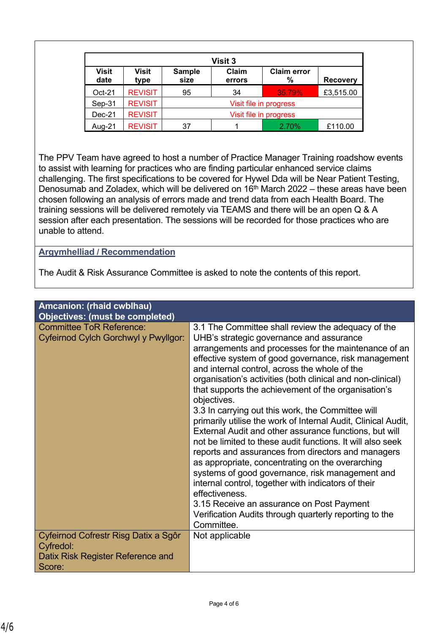| <b>Visit 3</b>       |                      |                       |                 |                         |                 |
|----------------------|----------------------|-----------------------|-----------------|-------------------------|-----------------|
| <b>Visit</b><br>date | <b>Visit</b><br>type | <b>Sample</b><br>size | Claim<br>errors | <b>Claim error</b><br>% | <b>Recovery</b> |
| $Oct-21$             | <b>REVISIT</b>       | 95                    | 34              | 35.79%                  | £3,515.00       |
| Sep-31               | <b>REVISIT</b>       |                       |                 | Visit file in progress  |                 |
| $Dec-21$             | <b>REVISIT</b>       |                       |                 | Visit file in progress  |                 |
| Aug-21               | <b>REVISIT</b>       | 37                    |                 | 2.70%                   | £110.00         |

The PPV Team have agreed to host a number of Practice Manager Training roadshow events to assist with learning for practices who are finding particular enhanced service claims challenging. The first specifications to be covered for Hywel Dda will be Near Patient Testing, Denosumab and Zoladex, which will be delivered on  $16<sup>th</sup>$  March 2022 – these areas have been chosen following an analysis of errors made and trend data from each Health Board. The training sessions will be delivered remotely via TEAMS and there will be an open Q & A session after each presentation. The sessions will be recorded for those practices who are unable to attend.

#### **Argymhelliad / Recommendation**

The Audit & Risk Assurance Committee is asked to note the contents of this report.

| Amcanion: (rhaid cwblhau)<br><b>Objectives: (must be completed)</b>                    |                                                                                                                                                                                                                                                                                                                                                                                                                                                                                                                                                                                                                                                                                                                                                                                                                                                                                                                                                                                                              |
|----------------------------------------------------------------------------------------|--------------------------------------------------------------------------------------------------------------------------------------------------------------------------------------------------------------------------------------------------------------------------------------------------------------------------------------------------------------------------------------------------------------------------------------------------------------------------------------------------------------------------------------------------------------------------------------------------------------------------------------------------------------------------------------------------------------------------------------------------------------------------------------------------------------------------------------------------------------------------------------------------------------------------------------------------------------------------------------------------------------|
| <b>Committee ToR Reference:</b><br>Cyfeirnod Cylch Gorchwyl y Pwyllgor:                | 3.1 The Committee shall review the adequacy of the<br>UHB's strategic governance and assurance<br>arrangements and processes for the maintenance of an<br>effective system of good governance, risk management<br>and internal control, across the whole of the<br>organisation's activities (both clinical and non-clinical)<br>that supports the achievement of the organisation's<br>objectives.<br>3.3 In carrying out this work, the Committee will<br>primarily utilise the work of Internal Audit, Clinical Audit,<br>External Audit and other assurance functions, but will<br>not be limited to these audit functions. It will also seek<br>reports and assurances from directors and managers<br>as appropriate, concentrating on the overarching<br>systems of good governance, risk management and<br>internal control, together with indicators of their<br>effectiveness.<br>3.15 Receive an assurance on Post Payment<br>Verification Audits through quarterly reporting to the<br>Committee. |
| Cyfeirnod Cofrestr Risg Datix a Sgôr<br>Cyfredol:<br>Datix Risk Register Reference and | Not applicable                                                                                                                                                                                                                                                                                                                                                                                                                                                                                                                                                                                                                                                                                                                                                                                                                                                                                                                                                                                               |
| Score:                                                                                 |                                                                                                                                                                                                                                                                                                                                                                                                                                                                                                                                                                                                                                                                                                                                                                                                                                                                                                                                                                                                              |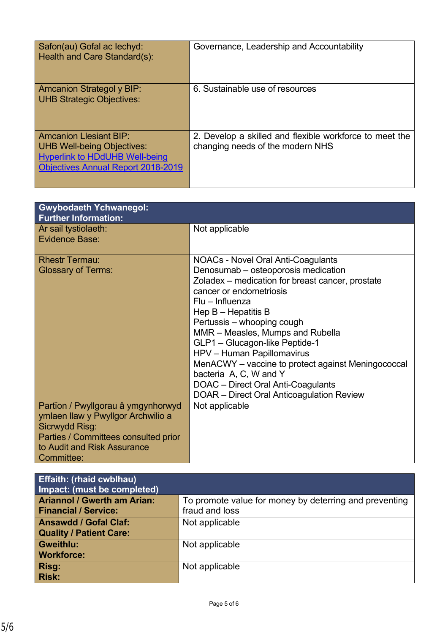| Safon(au) Gofal ac lechyd:<br>Health and Care Standard(s):                                                                                        | Governance, Leadership and Accountability                                                   |
|---------------------------------------------------------------------------------------------------------------------------------------------------|---------------------------------------------------------------------------------------------|
| Amcanion Strategol y BIP:<br><b>UHB Strategic Objectives:</b>                                                                                     | 6. Sustainable use of resources                                                             |
| <b>Amcanion Llesiant BIP:</b><br>UHB Well-being Objectives:<br><b>Hyperlink to HDdUHB Well-being</b><br><b>Objectives Annual Report 2018-2019</b> | 2. Develop a skilled and flexible workforce to meet the<br>changing needs of the modern NHS |

| <b>Gwybodaeth Ychwanegol:</b><br><b>Further Information:</b> |                                                     |
|--------------------------------------------------------------|-----------------------------------------------------|
| Ar sail tystiolaeth:                                         | Not applicable                                      |
| <b>Evidence Base:</b>                                        |                                                     |
| <b>Rhestr Termau:</b>                                        | <b>NOACs - Novel Oral Anti-Coagulants</b>           |
| <b>Glossary of Terms:</b>                                    | Denosumab - osteoporosis medication                 |
|                                                              | Zoladex – medication for breast cancer, prostate    |
|                                                              | cancer or endometriosis                             |
|                                                              | $Flu - Influenza$                                   |
|                                                              | Hep $B -$ Hepatitis B<br>Pertussis - whooping cough |
|                                                              | MMR - Measles, Mumps and Rubella                    |
|                                                              | GLP1 - Glucagon-like Peptide-1                      |
|                                                              | HPV - Human Papillomavirus                          |
|                                                              | MenACWY - vaccine to protect against Meningococcal  |
|                                                              | bacteria A, C, W and Y                              |
|                                                              | DOAC - Direct Oral Anti-Coagulants                  |
|                                                              | DOAR - Direct Oral Anticoagulation Review           |
| Partïon / Pwyllgorau â ymgynhorwyd                           | Not applicable                                      |
| ymlaen llaw y Pwyllgor Archwilio a                           |                                                     |
| Sicrwydd Risg:                                               |                                                     |
| Parties / Committees consulted prior                         |                                                     |
| to Audit and Risk Assurance<br>Committee:                    |                                                     |
|                                                              |                                                     |

| <b>Effaith: (rhaid cwblhau)</b><br>Impact: (must be completed) |                                                        |
|----------------------------------------------------------------|--------------------------------------------------------|
| <b>Ariannol / Gwerth am Arian:</b>                             | To promote value for money by deterring and preventing |
| <b>Financial / Service:</b>                                    | fraud and loss                                         |
| <b>Ansawdd / Gofal Claf:</b>                                   | Not applicable                                         |
| <b>Quality / Patient Care:</b>                                 |                                                        |
| <b>Gweithlu:</b>                                               | Not applicable                                         |
| <b>Workforce:</b>                                              |                                                        |
| Risg:                                                          | Not applicable                                         |
| <b>Risk:</b>                                                   |                                                        |